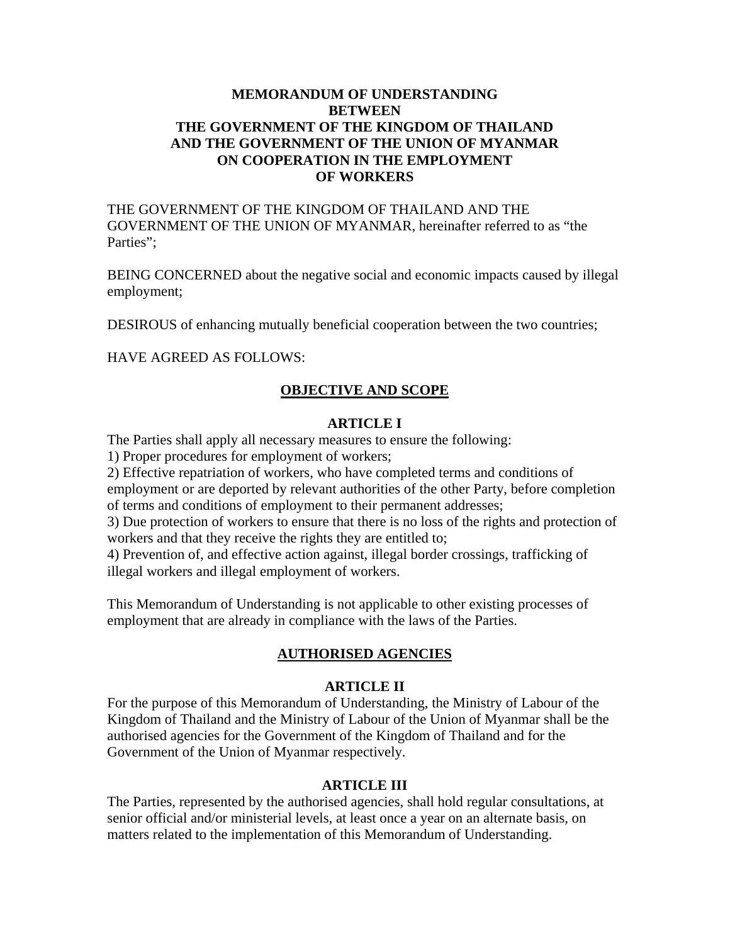# **MEMORANDUM OF UNDERSTANDING BETWEEN THE GOVERNMENT OF THE KINGDOM OF THAILAND AND THE GOVERNMENT OF THE UNION OF MYANMAR ON COOPERATION IN THE EMPLOYMENT OF WORKERS**

THE GOVERNMENT OF THE KINGDOM OF THAILAND AND THE GOVERNMENT OF THE UNION OF MYANMAR, hereinafter referred to as "the Parties":

BEING CONCERNED about the negative social and economic impacts caused by illegal employment;

DESIROUS of enhancing mutually beneficial cooperation between the two countries;

HAVE AGREED AS FOLLOWS:

## **OBJECTIVE AND SCOPE**

#### **ARTICLE I**

The Parties shall apply all necessary measures to ensure the following:

1) Proper procedures for employment of workers;

2) Effective repatriation of workers, who have completed terms and conditions of employment or are deported by relevant authorities of the other Party, before completion of terms and conditions of employment to their permanent addresses;

3) Due protection of workers to ensure that there is no loss of the rights and protection of workers and that they receive the rights they are entitled to;

4) Prevention of, and effective action against, illegal border crossings, trafficking of illegal workers and illegal employment of workers.

This Memorandum of Understanding is not applicable to other existing processes of employment that are already in compliance with the laws of the Parties.

## **AUTHORISED AGENCIES**

#### **ARTICLE II**

For the purpose of this Memorandum of Understanding, the Ministry of Labour of the Kingdom of Thailand and the Ministry of Labour of the Union of Myanmar shall be the authorised agencies for the Government of the Kingdom of Thailand and for the Government of the Union of Myanmar respectively.

#### **ARTICLE III**

The Parties, represented by the authorised agencies, shall hold regular consultations, at senior official and/or ministerial levels, at least once a year on an alternate basis, on matters related to the implementation of this Memorandum of Understanding.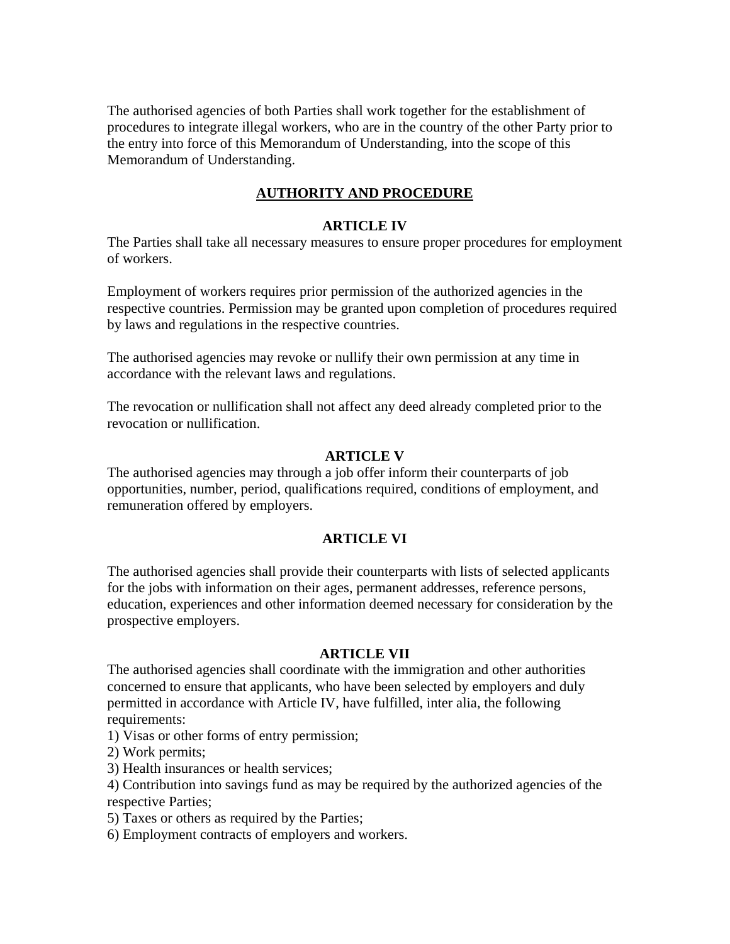The authorised agencies of both Parties shall work together for the establishment of procedures to integrate illegal workers, who are in the country of the other Party prior to the entry into force of this Memorandum of Understanding, into the scope of this Memorandum of Understanding.

# **AUTHORITY AND PROCEDURE**

## **ARTICLE IV**

The Parties shall take all necessary measures to ensure proper procedures for employment of workers.

Employment of workers requires prior permission of the authorized agencies in the respective countries. Permission may be granted upon completion of procedures required by laws and regulations in the respective countries.

The authorised agencies may revoke or nullify their own permission at any time in accordance with the relevant laws and regulations.

The revocation or nullification shall not affect any deed already completed prior to the revocation or nullification.

# **ARTICLE V**

The authorised agencies may through a job offer inform their counterparts of job opportunities, number, period, qualifications required, conditions of employment, and remuneration offered by employers.

## **ARTICLE VI**

The authorised agencies shall provide their counterparts with lists of selected applicants for the jobs with information on their ages, permanent addresses, reference persons, education, experiences and other information deemed necessary for consideration by the prospective employers.

## **ARTICLE VII**

The authorised agencies shall coordinate with the immigration and other authorities concerned to ensure that applicants, who have been selected by employers and duly permitted in accordance with Article IV, have fulfilled, inter alia, the following requirements:

1) Visas or other forms of entry permission;

2) Work permits;

3) Health insurances or health services;

4) Contribution into savings fund as may be required by the authorized agencies of the respective Parties;

5) Taxes or others as required by the Parties;

6) Employment contracts of employers and workers.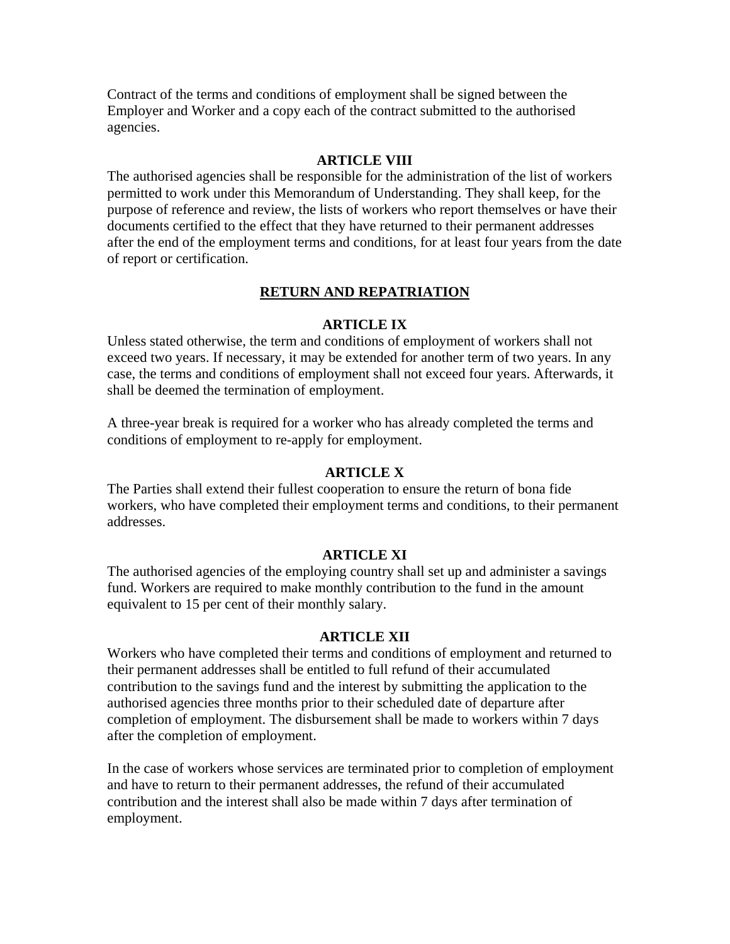Contract of the terms and conditions of employment shall be signed between the Employer and Worker and a copy each of the contract submitted to the authorised agencies.

#### **ARTICLE VIII**

The authorised agencies shall be responsible for the administration of the list of workers permitted to work under this Memorandum of Understanding. They shall keep, for the purpose of reference and review, the lists of workers who report themselves or have their documents certified to the effect that they have returned to their permanent addresses after the end of the employment terms and conditions, for at least four years from the date of report or certification.

#### **RETURN AND REPATRIATION**

#### **ARTICLE IX**

Unless stated otherwise, the term and conditions of employment of workers shall not exceed two years. If necessary, it may be extended for another term of two years. In any case, the terms and conditions of employment shall not exceed four years. Afterwards, it shall be deemed the termination of employment.

A three-year break is required for a worker who has already completed the terms and conditions of employment to re-apply for employment.

#### **ARTICLE X**

The Parties shall extend their fullest cooperation to ensure the return of bona fide workers, who have completed their employment terms and conditions, to their permanent addresses.

#### **ARTICLE XI**

The authorised agencies of the employing country shall set up and administer a savings fund. Workers are required to make monthly contribution to the fund in the amount equivalent to 15 per cent of their monthly salary.

#### **ARTICLE XII**

Workers who have completed their terms and conditions of employment and returned to their permanent addresses shall be entitled to full refund of their accumulated contribution to the savings fund and the interest by submitting the application to the authorised agencies three months prior to their scheduled date of departure after completion of employment. The disbursement shall be made to workers within 7 days after the completion of employment.

In the case of workers whose services are terminated prior to completion of employment and have to return to their permanent addresses, the refund of their accumulated contribution and the interest shall also be made within 7 days after termination of employment.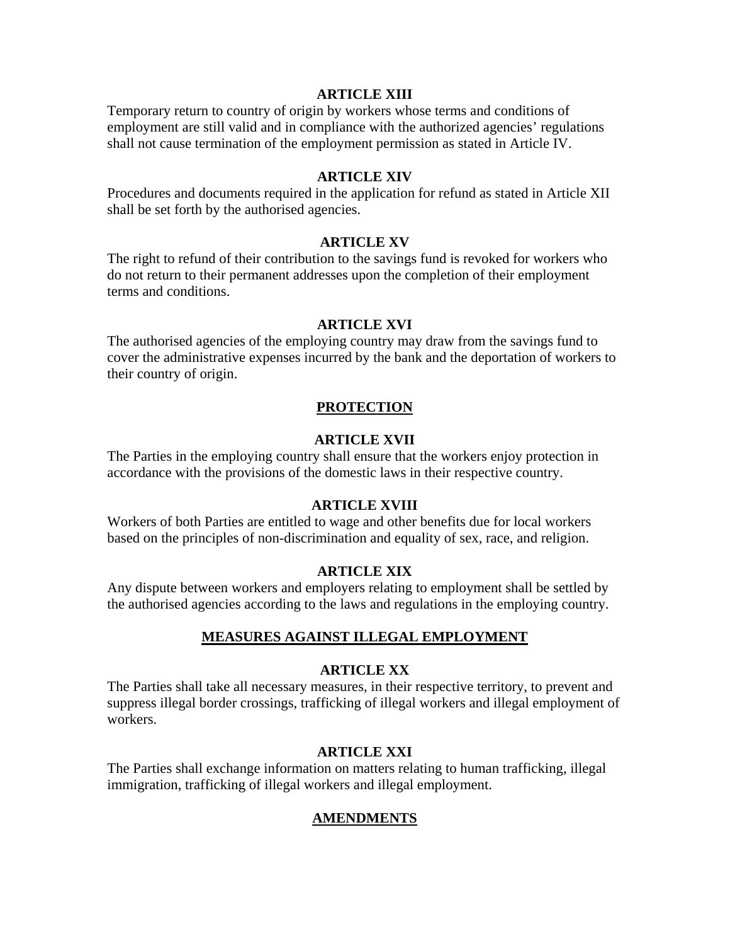#### **ARTICLE XIII**

Temporary return to country of origin by workers whose terms and conditions of employment are still valid and in compliance with the authorized agencies' regulations shall not cause termination of the employment permission as stated in Article IV.

## **ARTICLE XIV**

Procedures and documents required in the application for refund as stated in Article XII shall be set forth by the authorised agencies.

## **ARTICLE XV**

The right to refund of their contribution to the savings fund is revoked for workers who do not return to their permanent addresses upon the completion of their employment terms and conditions.

#### **ARTICLE XVI**

The authorised agencies of the employing country may draw from the savings fund to cover the administrative expenses incurred by the bank and the deportation of workers to their country of origin.

## **PROTECTION**

# **ARTICLE XVII**

The Parties in the employing country shall ensure that the workers enjoy protection in accordance with the provisions of the domestic laws in their respective country.

## **ARTICLE XVIII**

Workers of both Parties are entitled to wage and other benefits due for local workers based on the principles of non-discrimination and equality of sex, race, and religion.

## **ARTICLE XIX**

Any dispute between workers and employers relating to employment shall be settled by the authorised agencies according to the laws and regulations in the employing country.

## **MEASURES AGAINST ILLEGAL EMPLOYMENT**

## **ARTICLE XX**

The Parties shall take all necessary measures, in their respective territory, to prevent and suppress illegal border crossings, trafficking of illegal workers and illegal employment of workers.

#### **ARTICLE XXI**

The Parties shall exchange information on matters relating to human trafficking, illegal immigration, trafficking of illegal workers and illegal employment.

# **AMENDMENTS**